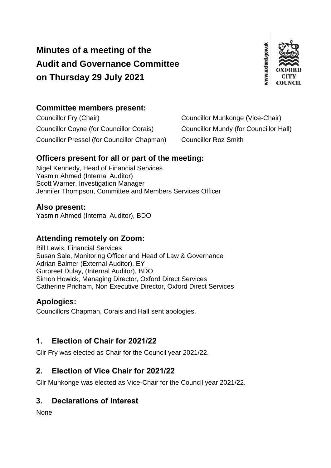# **Minutes of a meeting of the Audit and Governance Committee on Thursday 29 July 2021**



# **Committee members present:**

Councillor Fry (Chair) Councillor Munkonge (Vice-Chair) Councillor Coyne (for Councillor Corais) Councillor Mundy (for Councillor Hall) Councillor Pressel (for Councillor Chapman) Councillor Roz Smith

# **Officers present for all or part of the meeting:**

Nigel Kennedy, Head of Financial Services Yasmin Ahmed (Internal Auditor) Scott Warner, Investigation Manager Jennifer Thompson, Committee and Members Services Officer

## **Also present:**

Yasmin Ahmed (Internal Auditor), BDO

## **Attending remotely on Zoom:**

Bill Lewis, Financial Services Susan Sale, Monitoring Officer and Head of Law & Governance Adrian Balmer (External Auditor), EY Gurpreet Dulay, (Internal Auditor), BDO Simon Howick, Managing Director, Oxford Direct Services Catherine Pridham, Non Executive Director, Oxford Direct Services

## **Apologies:**

Councillors Chapman, Corais and Hall sent apologies.

# **1. Election of Chair for 2021/22**

Cllr Fry was elected as Chair for the Council year 2021/22.

# **2. Election of Vice Chair for 2021/22**

Cllr Munkonge was elected as Vice-Chair for the Council year 2021/22.

# **3. Declarations of Interest**

None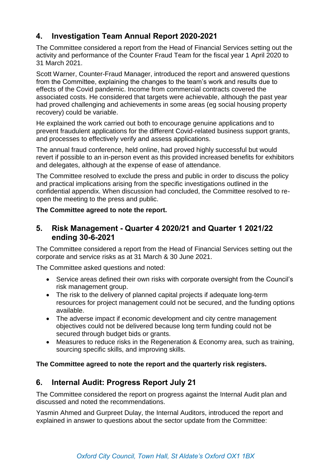# **4. Investigation Team Annual Report 2020-2021**

The Committee considered a report from the Head of Financial Services setting out the activity and performance of the Counter Fraud Team for the fiscal year 1 April 2020 to 31 March 2021.

Scott Warner, Counter-Fraud Manager, introduced the report and answered questions from the Committee, explaining the changes to the team's work and results due to effects of the Covid pandemic. Income from commercial contracts covered the associated costs. He considered that targets were achievable, although the past year had proved challenging and achievements in some areas (eg social housing property recovery) could be variable.

He explained the work carried out both to encourage genuine applications and to prevent fraudulent applications for the different Covid-related business support grants, and processes to effectively verify and assess applications.

The annual fraud conference, held online, had proved highly successful but would revert if possible to an in-person event as this provided increased benefits for exhibitors and delegates, although at the expense of ease of attendance.

The Committee resolved to exclude the press and public in order to discuss the policy and practical implications arising from the specific investigations outlined in the confidential appendix. When discussion had concluded, the Committee resolved to reopen the meeting to the press and public.

#### **The Committee agreed to note the report.**

## **5. Risk Management - Quarter 4 2020/21 and Quarter 1 2021/22 ending 30-6-2021**

The Committee considered a report from the Head of Financial Services setting out the corporate and service risks as at 31 March & 30 June 2021.

The Committee asked questions and noted:

- Service areas defined their own risks with corporate oversight from the Council's risk management group.
- The risk to the delivery of planned capital projects if adequate long-term resources for project management could not be secured, and the funding options available.
- The adverse impact if economic development and city centre management objectives could not be delivered because long term funding could not be secured through budget bids or grants.
- Measures to reduce risks in the Regeneration & Economy area, such as training, sourcing specific skills, and improving skills.

#### **The Committee agreed to note the report and the quarterly risk registers.**

## **6. Internal Audit: Progress Report July 21**

The Committee considered the report on progress against the Internal Audit plan and discussed and noted the recommendations.

Yasmin Ahmed and Gurpreet Dulay, the Internal Auditors, introduced the report and explained in answer to questions about the sector update from the Committee: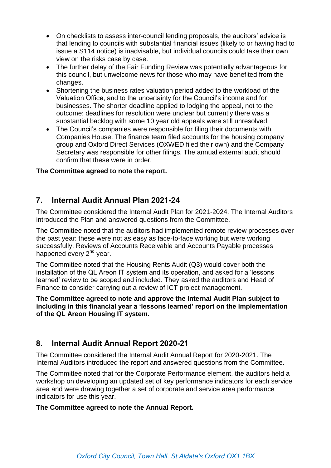- On checklists to assess inter-council lending proposals, the auditors' advice is that lending to councils with substantial financial issues (likely to or having had to issue a S114 notice) is inadvisable, but individual councils could take their own view on the risks case by case.
- The further delay of the Fair Funding Review was potentially advantageous for this council, but unwelcome news for those who may have benefited from the changes.
- Shortening the business rates valuation period added to the workload of the Valuation Office, and to the uncertainty for the Council's income and for businesses. The shorter deadline applied to lodging the appeal, not to the outcome: deadlines for resolution were unclear but currently there was a substantial backlog with some 10 year old appeals were still unresolved.
- The Council's companies were responsible for filing their documents with Companies House. The finance team filed accounts for the housing company group and Oxford Direct Services (OXWED filed their own) and the Company Secretary was responsible for other filings. The annual external audit should confirm that these were in order.

#### **The Committee agreed to note the report.**

## **7. Internal Audit Annual Plan 2021-24**

The Committee considered the Internal Audit Plan for 2021-2024. The Internal Auditors introduced the Plan and answered questions from the Committee.

The Committee noted that the auditors had implemented remote review processes over the past year: these were not as easy as face-to-face working but were working successfully. Reviews of Accounts Receivable and Accounts Payable processes happened every 2<sup>nd</sup> year.

The Committee noted that the Housing Rents Audit (Q3) would cover both the installation of the QL Areon IT system and its operation, and asked for a 'lessons learned' review to be scoped and included. They asked the auditors and Head of Finance to consider carrying out a review of ICT project management.

**The Committee agreed to note and approve the Internal Audit Plan subject to including in this financial year a 'lessons learned' report on the implementation of the QL Areon Housing IT system.**

## **8. Internal Audit Annual Report 2020-21**

The Committee considered the Internal Audit Annual Report for 2020-2021. The Internal Auditors introduced the report and answered questions from the Committee.

The Committee noted that for the Corporate Performance element, the auditors held a workshop on developing an updated set of key performance indicators for each service area and were drawing together a set of corporate and service area performance indicators for use this year.

#### **The Committee agreed to note the Annual Report.**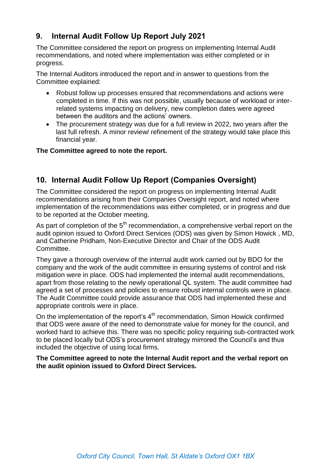# **9. Internal Audit Follow Up Report July 2021**

The Committee considered the report on progress on implementing Internal Audit recommendations, and noted where implementation was either completed or in progress.

The Internal Auditors introduced the report and in answer to questions from the Committee explained:

- Robust follow up processes ensured that recommendations and actions were completed in time. If this was not possible, usually because of workload or interrelated systems impacting on delivery, new completion dates were agreed between the auditors and the actions' owners.
- The procurement strategy was due for a full review in 2022, two years after the last full refresh. A minor review/ refinement of the strategy would take place this financial year.

#### **The Committee agreed to note the report.**

# **10. Internal Audit Follow Up Report (Companies Oversight)**

The Committee considered the report on progress on implementing Internal Audit recommendations arising from their Companies Oversight report, and noted where implementation of the recommendations was either completed, or in progress and due to be reported at the October meeting.

As part of completion of the  $5<sup>th</sup>$  recommendation, a comprehensive verbal report on the audit opinion issued to Oxford Direct Services (ODS) was given by Simon Howick , MD, and Catherine Pridham, Non-Executive Director and Chair of the ODS Audit Committee.

They gave a thorough overview of the internal audit work carried out by BDO for the company and the work of the audit committee in ensuring systems of control and risk mitigation were in place. ODS had implemented the internal audit recommendations, apart from those relating to the newly operational QL system. The audit committee had agreed a set of processes and policies to ensure robust internal controls were in place. The Audit Committee could provide assurance that ODS had implemented these and appropriate controls were in place.

On the implementation of the report's 4<sup>th</sup> recommendation, Simon Howick confirmed that ODS were aware of the need to demonstrate value for money for the council, and worked hard to achieve this. There was no specific policy requiring sub-contracted work to be placed locally but ODS's procurement strategy mirrored the Council's and thus included the objective of using local firms.

**The Committee agreed to note the Internal Audit report and the verbal report on the audit opinion issued to Oxford Direct Services.**